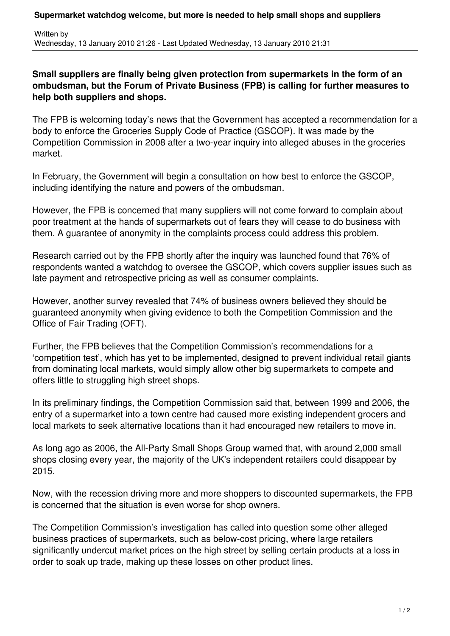## **Small suppliers are finally being given protection from supermarkets in the form of an ombudsman, but the Forum of Private Business (FPB) is calling for further measures to help both suppliers and shops.**

The FPB is welcoming today's news that the Government has accepted a recommendation for a body to enforce the Groceries Supply Code of Practice (GSCOP). It was made by the Competition Commission in 2008 after a two-year inquiry into alleged abuses in the groceries market.

In February, the Government will begin a consultation on how best to enforce the GSCOP, including identifying the nature and powers of the ombudsman.

However, the FPB is concerned that many suppliers will not come forward to complain about poor treatment at the hands of supermarkets out of fears they will cease to do business with them. A guarantee of anonymity in the complaints process could address this problem.

Research carried out by the FPB shortly after the inquiry was launched found that 76% of respondents wanted a watchdog to oversee the GSCOP, which covers supplier issues such as late payment and retrospective pricing as well as consumer complaints.

However, another survey revealed that 74% of business owners believed they should be guaranteed anonymity when giving evidence to both the Competition Commission and the Office of Fair Trading (OFT).

Further, the FPB believes that the Competition Commission's recommendations for a 'competition test', which has yet to be implemented, designed to prevent individual retail giants from dominating local markets, would simply allow other big supermarkets to compete and offers little to struggling high street shops.

In its preliminary findings, the Competition Commission said that, between 1999 and 2006, the entry of a supermarket into a town centre had caused more existing independent grocers and local markets to seek alternative locations than it had encouraged new retailers to move in.

As long ago as 2006, the All-Party Small Shops Group warned that, with around 2,000 small shops closing every year, the majority of the UK's independent retailers could disappear by 2015.

Now, with the recession driving more and more shoppers to discounted supermarkets, the FPB is concerned that the situation is even worse for shop owners.

The Competition Commission's investigation has called into question some other alleged business practices of supermarkets, such as below-cost pricing, where large retailers significantly undercut market prices on the high street by selling certain products at a loss in order to soak up trade, making up these losses on other product lines.